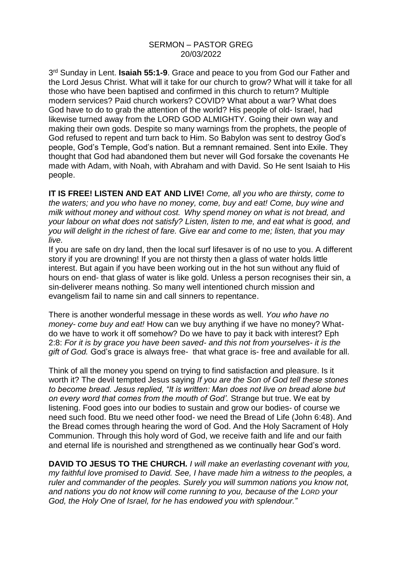## SERMON – PASTOR GREG 20/03/2022

3<sup>rd</sup> Sunday in Lent. **Isaiah 55:1-9**. Grace and peace to you from God our Father and the Lord Jesus Christ. What will it take for our church to grow? What will it take for all those who have been baptised and confirmed in this church to return? Multiple modern services? Paid church workers? COVID? What about a war? What does God have to do to grab the attention of the world? His people of old- Israel, had likewise turned away from the LORD GOD ALMIGHTY. Going their own way and making their own gods. Despite so many warnings from the prophets, the people of God refused to repent and turn back to Him. So Babylon was sent to destroy God's people, God's Temple, God's nation. But a remnant remained. Sent into Exile. They thought that God had abandoned them but never will God forsake the covenants He made with Adam, with Noah, with Abraham and with David. So He sent Isaiah to His people.

**IT IS FREE! LISTEN AND EAT AND LIVE!** *Come, all you who are thirsty, come to the waters; and you who have no money, come, buy and eat! Come, buy wine and milk without money and without cost. Why spend money on what is not bread, and your labour on what does not satisfy? Listen, listen to me, and eat what is good, and you will delight in the richest of fare. Give ear and come to me; listen, that you may live.*

If you are safe on dry land, then the local surf lifesaver is of no use to you. A different story if you are drowning! If you are not thirsty then a glass of water holds little interest. But again if you have been working out in the hot sun without any fluid of hours on end- that glass of water is like gold. Unless a person recognises their sin, a sin-deliverer means nothing. So many well intentioned church mission and evangelism fail to name sin and call sinners to repentance.

There is another wonderful message in these words as well. *You who have no money- come buy and eat!* How can we buy anything if we have no money? Whatdo we have to work it off somehow? Do we have to pay it back with interest? Eph 2:8: *For it is by grace you have been saved- and this not from yourselves- it is the gift of God.* God's grace is always free- that what grace is- free and available for all.

Think of all the money you spend on trying to find satisfaction and pleasure. Is it worth it? The devil tempted Jesus saying *If you are the Son of God tell these stones to become bread. Jesus replied, "It is written: Man does not live on bread alone but on every word that comes from the mouth of God'.* Strange but true. We eat by listening. Food goes into our bodies to sustain and grow our bodies- of course we need such food. Btu we need other food- we need the Bread of Life (John 6:48). And the Bread comes through hearing the word of God. And the Holy Sacrament of Holy Communion. Through this holy word of God, we receive faith and life and our faith and eternal life is nourished and strengthened as we continually hear God's word.

**DAVID TO JESUS TO THE CHURCH***. I will make an everlasting covenant with you, my faithful love promised to David. See, I have made him a witness to the peoples, a ruler and commander of the peoples. Surely you will summon nations you know not, and nations you do not know will come running to you, because of the LORD your God, the Holy One of Israel, for he has endowed you with splendour."*